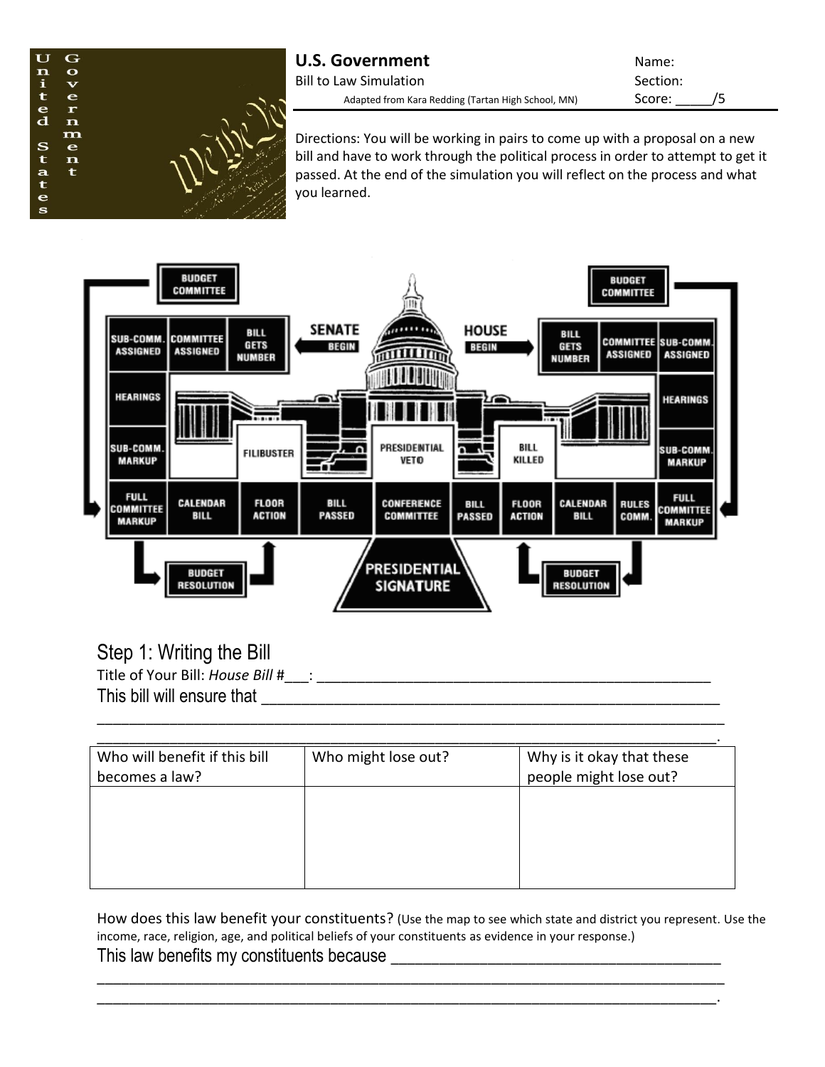

| <b>U.S. Government</b>                             | Name:    |    |
|----------------------------------------------------|----------|----|
| <b>Bill to Law Simulation</b>                      | Section: |    |
| Adapted from Kara Redding (Tartan High School, MN) | Score:   | 75 |
|                                                    |          |    |

Directions: You will be working in pairs to come up with a proposal on a new bill and have to work through the political process in order to attempt to get it passed. At the end of the simulation you will reflect on the process and what you learned.



Step 1: Writing the Bill

Title of Your Bill: *House Bill* #\_\_\_: \_\_\_\_\_\_\_\_\_\_\_\_\_\_\_\_\_\_\_\_\_\_\_\_\_\_\_\_\_\_\_\_\_\_\_\_\_\_\_\_\_\_\_\_\_\_\_\_\_

This bill will ensure that

| Who will benefit if this bill | Who might lose out? | Why is it okay that these |
|-------------------------------|---------------------|---------------------------|
| becomes a law?                |                     | people might lose out?    |
|                               |                     |                           |
|                               |                     |                           |
|                               |                     |                           |
|                               |                     |                           |
|                               |                     |                           |

\_\_\_\_\_\_\_\_\_\_\_\_\_\_\_\_\_\_\_\_\_\_\_\_\_\_\_\_\_\_\_\_\_\_\_\_\_\_\_\_\_\_\_\_\_\_\_\_\_\_\_\_\_\_\_\_\_\_\_\_\_\_\_\_\_\_\_\_\_\_\_\_\_\_\_\_\_\_

How does this law benefit your constituents? (Use the map to see which state and district you represent. Use the income, race, religion, age, and political beliefs of your constituents as evidence in your response.) This law benefits my constituents because

\_\_\_\_\_\_\_\_\_\_\_\_\_\_\_\_\_\_\_\_\_\_\_\_\_\_\_\_\_\_\_\_\_\_\_\_\_\_\_\_\_\_\_\_\_\_\_\_\_\_\_\_\_\_\_\_\_\_\_\_\_\_\_\_\_\_\_\_\_\_\_\_\_\_\_\_\_\_ \_\_\_\_\_\_\_\_\_\_\_\_\_\_\_\_\_\_\_\_\_\_\_\_\_\_\_\_\_\_\_\_\_\_\_\_\_\_\_\_\_\_\_\_\_\_\_\_\_\_\_\_\_\_\_\_\_\_\_\_\_\_\_\_\_\_\_\_\_\_\_\_\_\_\_\_\_.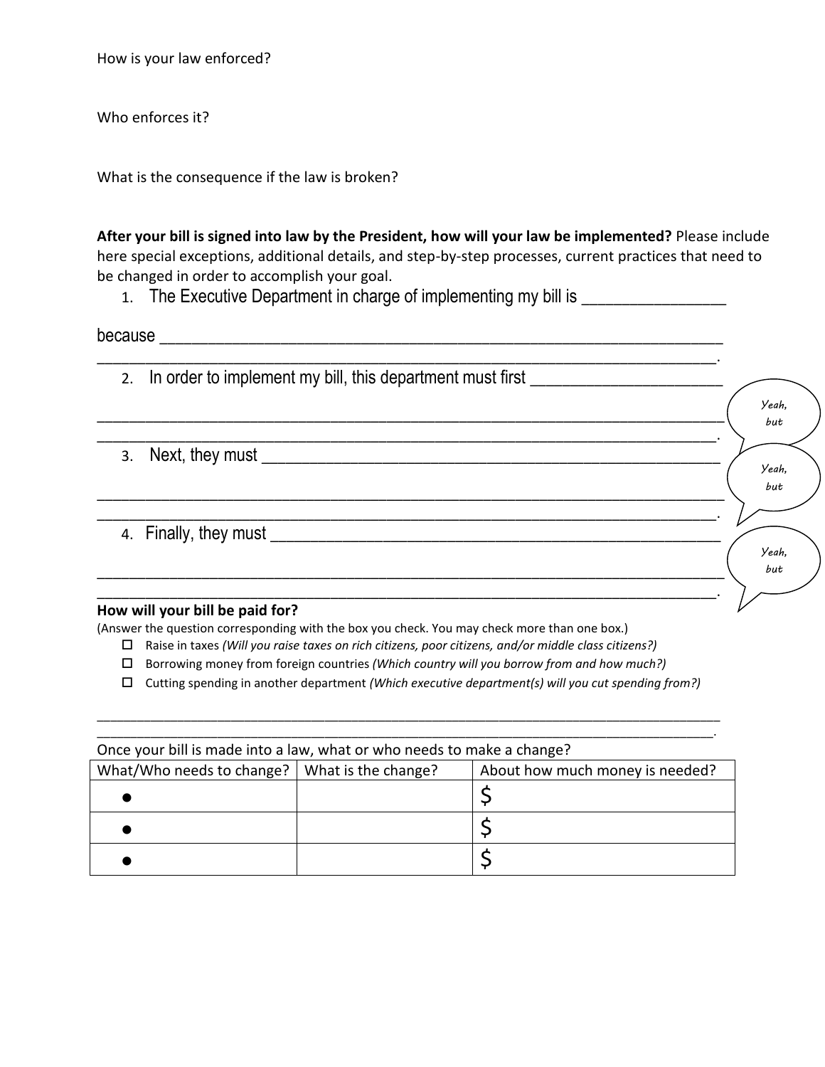How is your law enforced?

Who enforces it?

What is the consequence if the law is broken?

**After your bill is signed into law by the President, how will your law be implemented?** Please include here special exceptions, additional details, and step-by-step processes, current practices that need to be changed in order to accomplish your goal.

1. The Executive Department in charge of implementing my bill is

because \_\_\_\_\_\_\_\_\_\_\_\_\_\_\_\_\_\_\_\_\_\_\_\_\_\_\_\_\_\_\_\_\_\_\_\_\_\_\_\_\_\_\_\_\_\_\_\_\_\_\_\_\_\_\_\_\_\_\_\_\_\_\_\_\_\_\_\_\_\_

| In order to implement my bill, this department must first<br>2. |              |
|-----------------------------------------------------------------|--------------|
|                                                                 | Yeah,        |
|                                                                 | but          |
| Next, they must ____<br>3.                                      |              |
|                                                                 | Yeah,<br>but |
|                                                                 |              |
| 4. Finally, they must                                           |              |
|                                                                 | Yeah,<br>but |
|                                                                 |              |
| Fow will your hill he naid for?                                 |              |

### **How will your bill be paid for?**

(Answer the question corresponding with the box you check. You may check more than one box.)

- Raise in taxes *(Will you raise taxes on rich citizens, poor citizens, and/or middle class citizens?)*
- Borrowing money from foreign countries *(Which country will you borrow from and how much?)*
- Cutting spending in another department *(Which executive department(s) will you cut spending from?)*

\_\_\_\_\_\_\_\_\_\_\_\_\_\_\_\_\_\_\_\_\_\_\_\_\_\_\_\_\_\_\_\_\_\_\_\_\_\_\_\_\_\_\_\_\_\_\_\_\_\_\_\_\_\_\_\_\_\_\_\_\_\_\_\_\_\_\_\_\_\_\_\_\_\_\_\_\_\_\_\_\_\_\_\_\_\_\_\_\_\_\_\_\_

| Once your bill is made into a law, what or who needs to make a change?             |  |  |  |  |
|------------------------------------------------------------------------------------|--|--|--|--|
| What/Who needs to change?   What is the change?<br>About how much money is needed? |  |  |  |  |
|                                                                                    |  |  |  |  |
|                                                                                    |  |  |  |  |
|                                                                                    |  |  |  |  |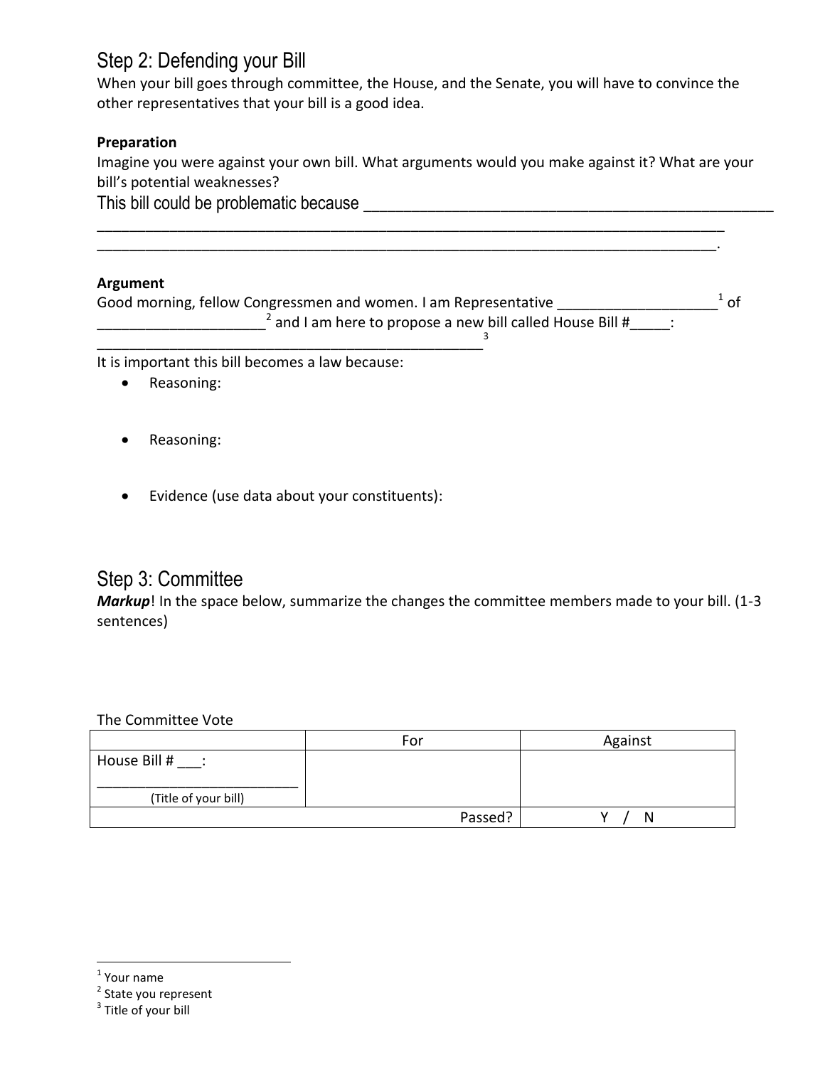## Step 2: Defending your Bill

When your bill goes through committee, the House, and the Senate, you will have to convince the other representatives that your bill is a good idea.

### **Preparation**

Imagine you were against your own bill. What arguments would you make against it? What are your bill's potential weaknesses?

This bill could be problematic because **EXACUSE** 

### **Argument**

Good morning, fellow Congressmen and women. I am Representative \_\_\_\_\_\_\_\_\_\_\_\_\_\_\_\_\_\_\_\_\_\_<sup>1</sup> of  $\frac{2}{3}$  and I am here to propose a new bill called House Bill # $\frac{2}{3}$ :

\_\_\_\_\_\_\_\_\_\_\_\_\_\_\_\_\_\_\_\_\_\_\_\_\_\_\_\_\_\_\_\_\_\_\_\_\_\_\_\_\_\_\_\_\_\_\_\_\_\_\_\_\_\_\_\_\_\_\_\_\_\_\_\_\_\_\_\_\_\_\_\_\_\_\_\_\_\_ \_\_\_\_\_\_\_\_\_\_\_\_\_\_\_\_\_\_\_\_\_\_\_\_\_\_\_\_\_\_\_\_\_\_\_\_\_\_\_\_\_\_\_\_\_\_\_\_\_\_\_\_\_\_\_\_\_\_\_\_\_\_\_\_\_\_\_\_\_\_\_\_\_\_\_\_\_.

It is important this bill becomes a law because:

- Reasoning:
- Reasoning:
- Evidence (use data about your constituents):

\_\_\_\_\_\_\_\_\_\_\_\_\_\_\_\_\_\_\_\_\_\_\_\_\_\_\_\_\_\_\_\_\_\_\_\_\_\_\_\_\_\_\_\_\_\_\_\_ 3

## Step 3: Committee

*Markup*! In the space below, summarize the changes the committee members made to your bill. (1-3 sentences)

### The Committee Vote

|                                                        | For     | Against |
|--------------------------------------------------------|---------|---------|
| House Bill #<br><u>n situa</u><br>(Title of your bill) |         |         |
|                                                        | Passed? | N       |

 $\overline{\phantom{a}}$ 

<sup>&</sup>lt;sup>1</sup> Your name

<sup>&</sup>lt;sup>2</sup> State you represent

 $3$  Title of your bill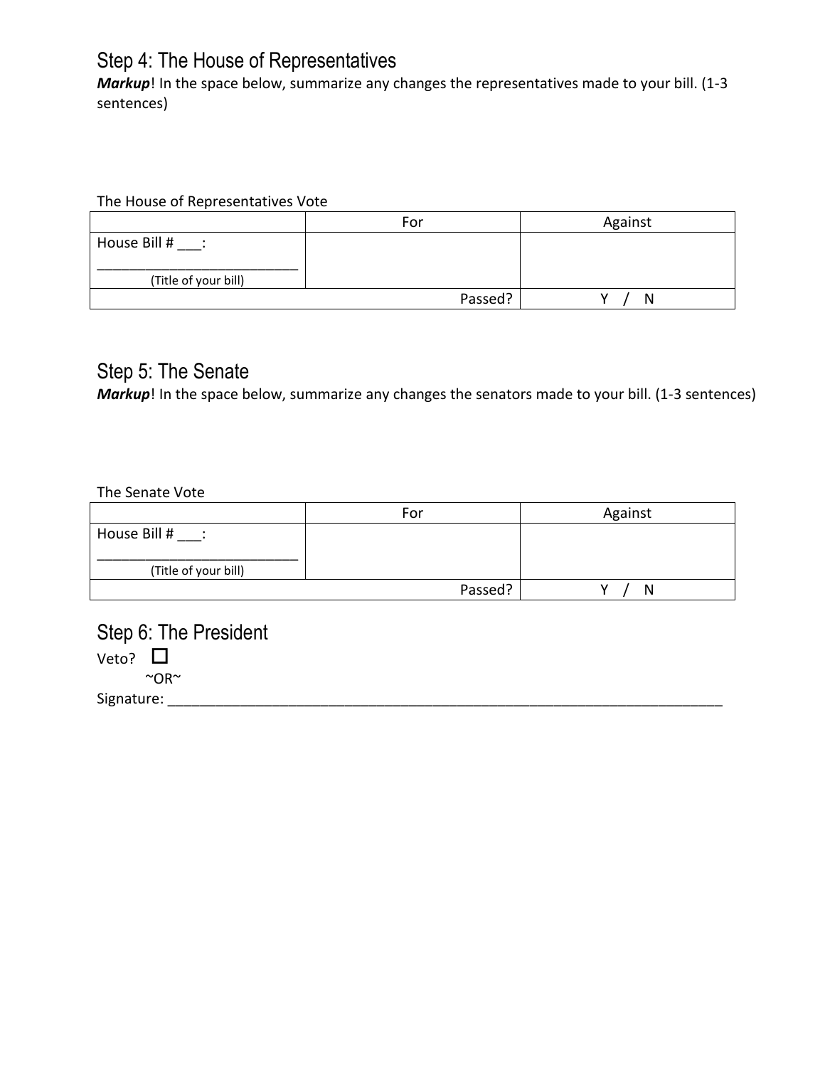# Step 4: The House of Representatives

*Markup*! In the space below, summarize any changes the representatives made to your bill. (1-3 sentences)

### The House of Representatives Vote

|                          | For     | Against |
|--------------------------|---------|---------|
| House Bill #<br>$\sim$ : |         |         |
| (Title of your bill)     |         |         |
|                          | Passed? | N       |

## Step 5: The Senate

*Markup*! In the space below, summarize any changes the senators made to your bill. (1-3 sentences)

### The Senate Vote

|                      | For     | Against |
|----------------------|---------|---------|
| House Bill #         |         |         |
| (Title of your bill) |         |         |
|                      | Passed? | N       |

## Step 6: The President

Veto?  $\Box$  $\sim$ OR $\sim$ 

Signature: \_\_\_\_\_\_\_\_\_\_\_\_\_\_\_\_\_\_\_\_\_\_\_\_\_\_\_\_\_\_\_\_\_\_\_\_\_\_\_\_\_\_\_\_\_\_\_\_\_\_\_\_\_\_\_\_\_\_\_\_\_\_\_\_\_\_\_\_\_